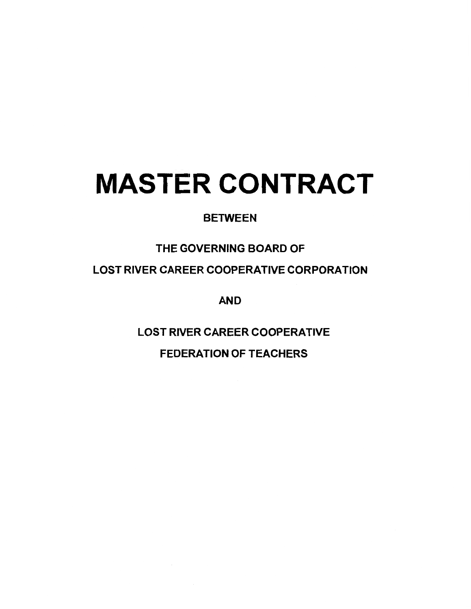# **MASTER CONTRACT**

# **BETWEEN**

# THE GOVERNING BOARD OF

LOST RIVER CAREER COOPERATIVE CORPORATION

AND

LOST RIVER CAREER COOPERATIVE

FEDERATION OF TEACHERS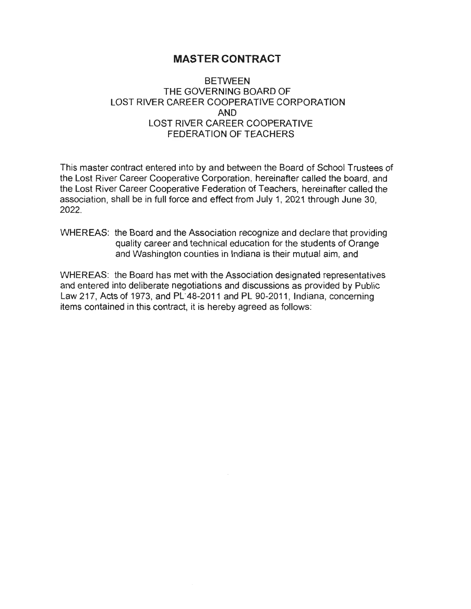## **MASTER CONTRACT**

## **BETWEEN** THE GOVERNING BOARD OF LOST RIVER CAREER COOPERATIVE CORPORATION **AND**  LOST RIVER CAREER COOPERATIVE FEDERATION OF TEACHERS

This master contract entered into by and between the Board of School Trustees of the Lost River Career Cooperative Corporation, hereinafter called the board, and the Lost River Career Cooperative Federation of Teachers, hereinafter called the association, shall be in full force and effect from July 1, 2021 through June 30, 2022.

WHEREAS: the Board and the Association recognize and declare that providing quality career and technical education for the students of Orange and Washington counties in Indiana is their mutual aim, and

WHEREAS: the Board has met with the Association designated representatives and entered into deliberate negotiations and discussions as provided by Public Law 217, Acts of 1973, and PL"48-2011 and PL 90-2011 , Indiana, concerning items contained in this contract, it is hereby agreed as follows: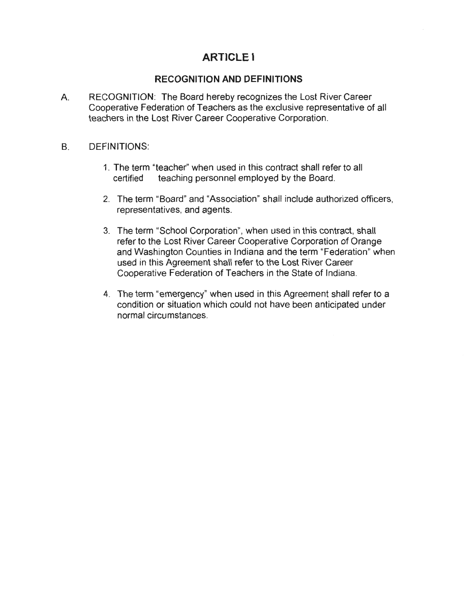# **ARTICLE I**

## **RECOGNITION AND DEFINITIONS**

A. RECOGNITION: The Board hereby recognizes the Lost River Career Cooperative Federation of Teachers as the exclusive representative of all teachers in the Lost River Career Cooperative Corporation.

#### B. DEFINITIONS:

- 1. The term "teacher" when used in this contract shall refer to all certified teaching personnel employed by the Board.
- 2. The term "Board" and "Association" shall include authorized officers, representatives, and agents.
- 3. The term "School Corporation", when used in this contract, shall refer to the Lost River Career Cooperative Corporation of Orange and Washington Counties in Indiana and the term "Federation" when used in this Agreement shall refer to the Lost River Career Cooperative Federation of Teachers in the State of Indiana.
- 4. The term "emergency" when used in this Agreement shall refer to a condition or situation which could not have been anticipated under normal circumstances.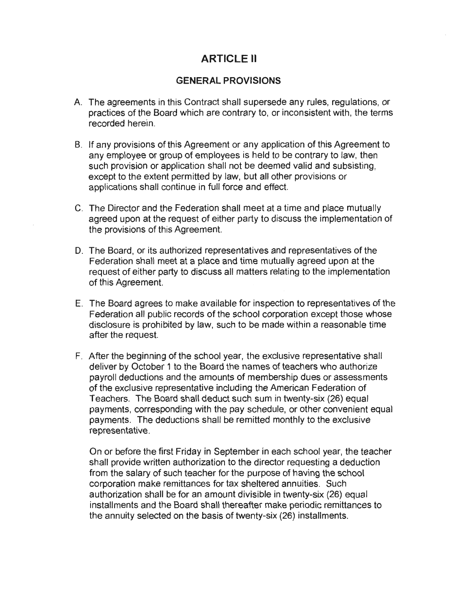# **ARTICLE II**

## **GENERAL PROVISIONS**

- A. The agreements in this Contract shall supersede any rules, regulations, or practices of the Board which are contrary to, or inconsistent with, the terms recorded herein.
- B. If any provisions of this Agreement or any application of this Agreement to any employee or group of employees is held to be contrary to law, then such provision or application shall not be deemed valid and subsisting, except to the extent permitted by law, but all other provisions or applications shall continue in full force and effect.
- C. The Director and the Federation shall meet at a time and place mutually agreed upon at the request of either party to discuss the implementation of the provisions of this Agreement.
- D. The Board, or its authorized representatives and representatives of the Federation shall meet at a place and time mutually agreed upon at the request of either party to discuss all matters relating to the implementation of this Agreement.
- E. The Board agrees to make available for inspection to representatives of the Federation all public records of the school corporation except those whose disclosure is prohibited by law, such to be made within a reasonable time after the request.
- F. After the beginning of the school year, the exclusive representative shall deliver by October 1 to the Board the names of teachers who authorize payroll deductions and the amounts of membership dues or assessments of the exclusive representative including the American Federation of Teachers. The Board shall deduct such sum in twenty-six (26) equal payments, corresponding with the pay schedule, or other convenient equal payments. The deductions shall be remitted monthly to the exclusive representative.

On or before the first Friday in September in each school year, the teacher shall provide written authorization to the director requesting a deduction from the salary of such teacher for the purpose of having the school corporation make remittances for tax sheltered annuities. Such authorization shall be for an amount divisible in twenty-six (26) equal installments and the Board shall thereafter make periodic remittances to the annuity selected on the basis of twenty-six (26) installments.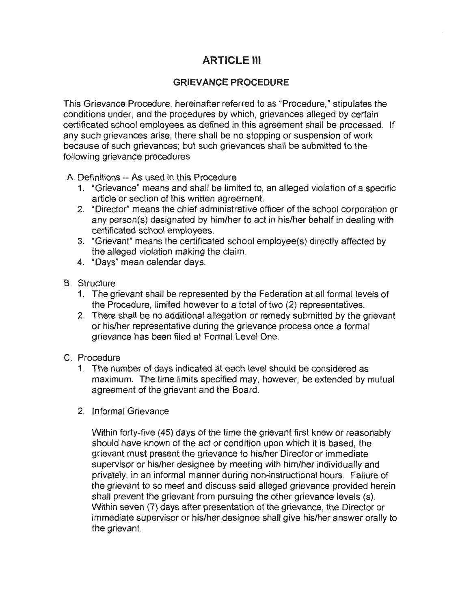# **ARTICLE Ill**

## **GRIEVANCE PROCEDURE**

This Grievance Procedure, hereinafter referred to as "Procedure," stipulates the conditions under, and the procedures by which, grievances alleged by certain certificated school employees as defined in this agreement shall be processed. If any such grievances arise, there shall be no stopping or suspension of work because of such grievances; but such grievances shall be submitted to the following grievance procedures.

A. Definitions -- As used in this Procedure

- 1. "Grievance" means and shall be limited to, an alleged violation of a specific article or section of this written agreement.
- 2. "Director" means the chief administrative officer of the school corporation or any person(s) designated by him/her to act in his/her behalf in dealing with certificated school employees.
- 3. "Grievant" means the certificated school employee(s) directly affected by the alleged violation making the claim.
- 4. "Days" mean calendar days.
- B. Structure
	- 1. The grievant shall be represented by the Federation at all formal levels of the Procedure, limited however to a total of two (2) representatives.
	- 2. There shall be no additional allegation or remedy submitted by the grievant or his/her representative during the grievance process once a formal grievance has been filed at Formal Level One.
- C. Procedure
	- 1. The number of days indicated at each level should be considered as maximum. The time limits specified may, however, be extended by mutual agreement of the grievant and the Board.
	- 2. Informal Grievance

Within forty-five (45) days of the time the grievant first knew or reasonably should have known of the act or condition upon which it is based, the grievant must present the grievance to his/her Director or immediate supervisor or his/her designee by meeting with him/her individually and privately, in an informal manner during non-instructional hours. Failure of the grievant to so meet and discuss said alleged grievance provided herein shall prevent the grievant from pursuing the other grievance levels (s). Within seven (7) days after presentation of the grievance, the Director or immediate supervisor or his/her designee shall give his/her answer orally to the grievant.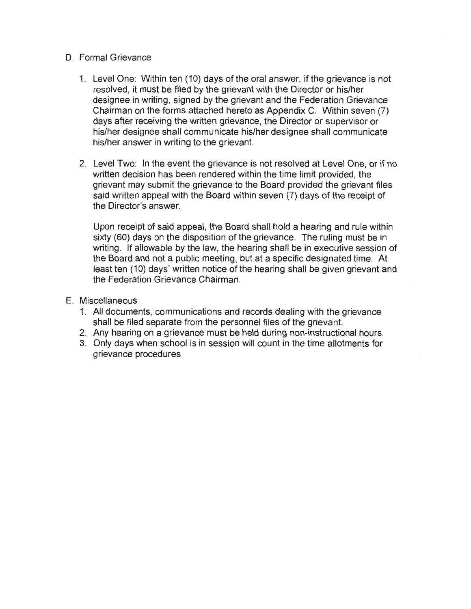#### D. Formal Grievance

- 1. Level One: Within ten (10) days of the oral answer, if the grievance is not resolved, it must be filed by the grievant with the Director or his/her designee in writing, signed by the grievant and the Federation Grievance Chairman on the forms attached hereto as Appendix C. Within seven (7) days after receiving the written grievance, the Director or supervisor or his/her designee shall communicate his/her designee shall communicate his/her answer in writing to the grievant.
- 2. Level Two: In the event the grievance is not resolved at Level One, or if no written decision has been rendered within the time limit provided, the grievant may submit the grievance to the Board provided the grievant files said written appeal with the Board within seven (7) days of the receipt of the Director's answer.

Upon receipt of said appeal, the Board shall hold a hearing and rule within sixty (60) days on the disposition of the grievance. The ruling must be in writing. If allowable by the law, the hearing shall be in executive session of the Board and not a public meeting, but at a specific designated time. At least ten (10) days' written notice of the hearing shall be given grievant and the Federation Grievance Chairman.

- E. Miscellaneous
	- 1. All documents, communications and records dealing with the grievance shall be filed separate from the personnel files of the grievant.
	- 2. Any hearing on a grievance must be held during non-instructional hours.
	- 3. Only days when school is in session will count in the time allotments for grievance procedures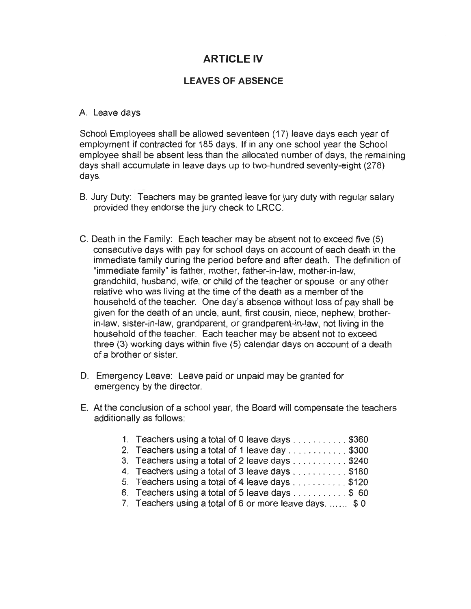# **ARTICLE IV**

## **LEAVES OF ABSENCE**

#### A. Leave days

School Employees shall be allowed seventeen (17) leave days each year of employment if contracted for 185 days. If in any one school year the School employee shall be absent less than the allocated number of days, the remaining days shall accumulate in leave days up to two-hundred seventy-eight (278) days.

- B. Jury Duty: Teachers may be granted leave for jury duty with regular salary provided they endorse the jury check to LRCC.
- C. Death in the Family: Each teacher may be absent not to exceed five (5) consecutive days with pay for school days on account of each death in the immediate family during the period before and after death. The definition of "immediate family" is father, mother, father-in-law, mother-in-law, grandchild, husband, wife, or child of the teacher or spouse or any other relative who was living at the time of the death as a member of the household of the teacher. One day's absence without loss of pay shall be given for the death of an uncle, aunt, first cousin, niece, nephew, brotherin-law, sister-in-law, grandparent, or grandparent-in-law, not living in the household of the teacher. Each teacher may be absent not to exceed three (3) working days within five (5) calendar days on account of a death of a brother or sister.
- D. Emergency Leave: Leave paid or unpaid may be granted for emergency by the director.
- E. At the conclusion of a school year, the Board will compensate the teachers additionally as follows:

| 1. Teachers using a total of 0 leave days \$360          |
|----------------------------------------------------------|
| 2. Teachers using a total of 1 leave day \$300           |
| 3. Teachers using a total of 2 leave days \$240          |
| 4. Teachers using a total of 3 leave days \$180          |
| 5. Teachers using a total of 4 leave days \$120          |
| 6. Teachers using a total of 5 leave days \$ 60          |
| 7. Teachers using a total of 6 or more leave days.  \$ 0 |
|                                                          |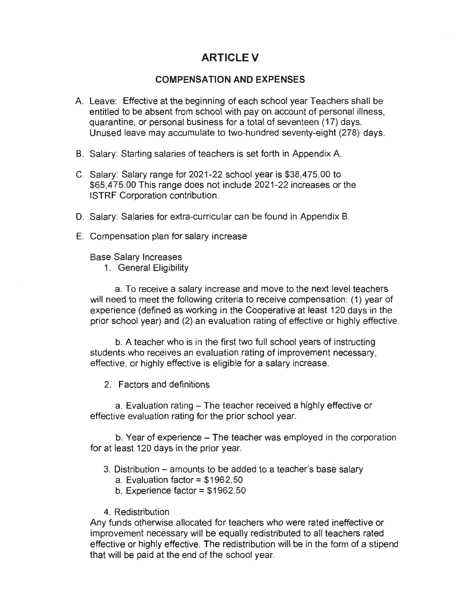# **ARTICLEV**

#### **COMPENSATION AND EXPENSES**

- A. Leave: Effective at the beginning of each school year Teachers shall be entitled to be absent from school with pay on account of personal illness, quarantine, or personal business for a total of seventeen (17) days. Unused leave may accumulate to two-hundred seventy-eight (278) days.
- B. Salary: Starting salaries of teachers is set forth in Appendix A.
- C. Salary: Salary range for 2021-22 school year is \$38,475.00 to \$65,475.00 This range does not include 2021-22 increases or the ISTRF Corporation contribution.
- D. Salary: Salaries for extra-curricular can be found in Appendix B.
- E. Compensation plan for salary increase

Base Salary Increases

1. General Eligibility

a. To receive a salary increase and move to the next level teachers will need to meet the following criteria to receive compensation: (1) year of experience (defined as working in the Cooperative at least 120 days in the prior school year) and (2) an evaluation rating of effective or highly effective.

b. A teacher who is in the first two full school years of instructing students who receives an evaluation rating of improvement necessary, effective, or highly effective is eligible for a salary increase.

2. Factors and definitions

a. Evaluation rating – The teacher received a highly effective or effective evaluation rating for the prior school year.

b. Year of experience - The teacher was employed in the corporation for at least 120 days in the prior year.

- 3. Distribution amounts to be added to a teacher's base salary
	- a. Evaluation factor= \$1962.50
	- b. Experience factor  $= $1962.50$
- 4. Redistribution

Any funds otherwise allocated for teachers who were rated ineffective or improvement necessary will be equally redistributed to all teachers rated effective or highly effective. The redistribution will be in the form of a stipend that will be paid at the end of the school year.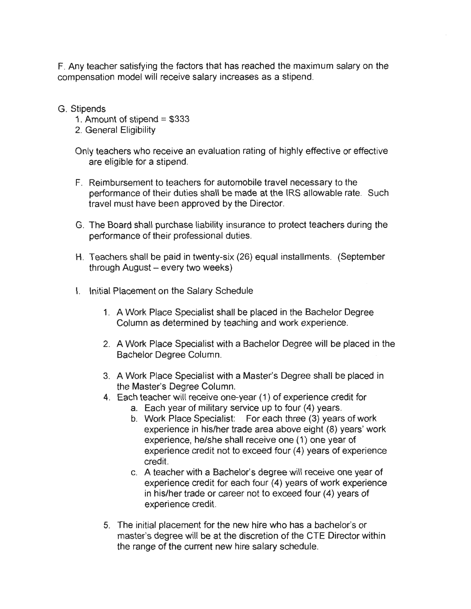F. Any teacher satisfying the factors that has reached the maximum salary on the compensation model will receive salary increases as a stipend.

G. Stipends

- 1. Amount of stipend = \$333
- 2. General Eligibility

Only teachers who receive an evaluation rating of highly effective or effective are eligible for a stipend.

- F. Reimbursement to teachers for automobile travel necessary to the performance of their duties shall be made at the IRS allowable rate. Such travel must have been approved by the Director.
- G. The Board shall purchase liability insurance to protect teachers during the performance of their professional duties.
- H. Teachers shall be paid in twenty-six (26) equal installments. (September through August- every two weeks)
- I. Initial Placement on the Salary Schedule
	- 1. A Work Place Specialist shall be placed in the Bachelor Degree Column as determined by teaching and work experience.
	- 2. A Work Place Specialist with a Bachelor Degree will be placed in the Bachelor Degree Column.
	- 3. A Work Place Specialist with a Master's Degree shall be placed in the Master's Degree Column.
	- 4. Each teacher will receive one-year (1) of experience credit for
		- a. Each year of military service up to four (4) years.
		- b. Work Place Specialist: For each three (3) years of work experience in his/her trade area above eight (8) years' work experience, he/she shall receive one (1) one year of experience credit not to exceed four (4) years of experience credit.
		- c. A teacher with a Bachelor's degree will receive one year of experience credit for each four (4) years of work experience in his/her trade or career not to exceed four (4) years of experience credit.
	- 5. The initial placement for the new hire who has a bachelor's or master's degree will be at the discretion of the CTE Director within the range of the current new hire salary schedule.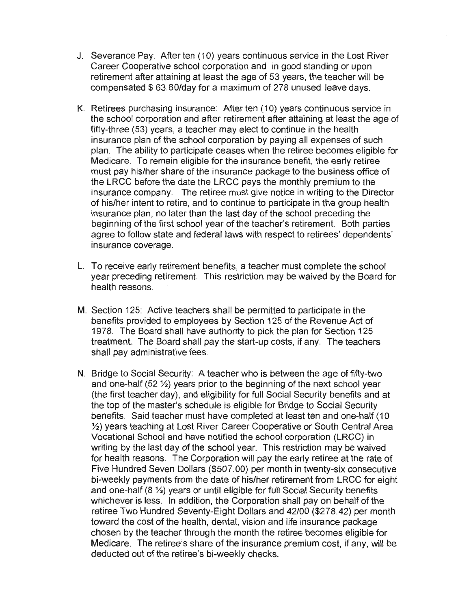- J. Severance Pay: After ten ( 10) years continuous service in the Lost River Career Cooperative school corporation and in good standing or upon retirement after attaining at least the age of 53 years, the teacher will be compensated \$63.60/day for a maximum of 278 unused leave days.
- K. Retirees purchasing insurance: After ten (10) years continuous service in the school corporation and after retirement after attaining at least the age of fifty-three (53) years, a teacher may elect to continue in the health insurance plan of the school corporation by paying all expenses of such plan. The ability to participate ceases when the retiree becomes eligible for Medicare. To remain eligible for the insurance benefit, the early retiree must pay his/her share of the insurance package to the business office of the LRCC before the date the LRCC pays the monthly premium to the insurance company. The retiree must give notice in writing to the Director of his/her intent to retire, and to continue to participate in the group health insurance plan, no later than the last day of the school preceding the beginning of the first school year of the teacher's retirement. Both parties agree to follow state and federal laws with respect to retirees' dependents' insurance coverage.
- L. To receive early retirement benefits, a teacher must complete the school year preceding retirement. This restriction may be waived by the Board for health reasons.
- M. Section 125: Active teachers shall be permitted to participate in the benefits provided to employees by Section 125 of the Revenue Act of 1978. The Board shall have authority to pick the plan for Section 125 treatment. The Board shall pay the start-up costs, if any. The teachers shall pay administrative fees .
- N. Bridge to Social Security: A teacher who is between the age of fifty-two and one-half (52 ½) years prior to the beginning of the next school year (the first teacher day), and eligibility for full Social Security benefits and at the top of the master's schedule is eligible for Bridge to Social Security benefits. Said teacher must have completed at least ten and one-half (10) ½) years teaching at Lost River Career Cooperative or South Central Area Vocational School and have notified the school corporation (LRCC) in writing by the last day of the school year. This restriction may be waived for health reasons. The Corporation will pay the early retiree at the rate of Five Hundred Seven Dollars (\$507.00) per month in twenty-six consecutive bi-weekly payments from the date of his/her retirement from LRCC for eight and one-half (8 ½) years or until eligible for full Social Security benefits whichever is less. In addition, the Corporation shall pay on behalf of the retiree Two Hundred Seventy-Eight Dollars and 42/00 (\$278.42) per month toward the cost of the health, dental, vision and life insurance package chosen by the teacher through the month the retiree becomes eligible for Medicare. The retiree's share of the insurance premium cost, if any, will be deducted out of the retiree's bi-weekly checks.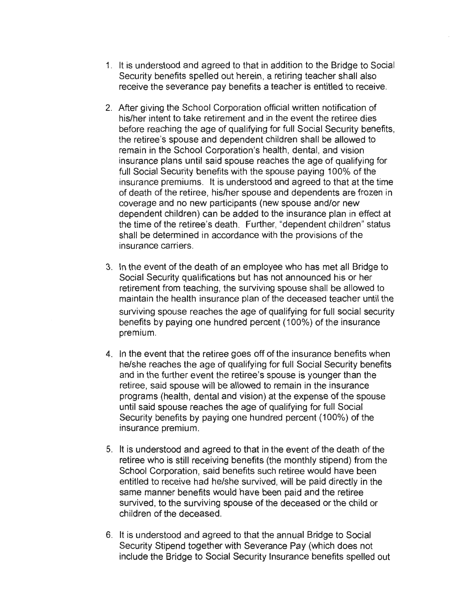- 1. It is understood and agreed to that in addition to the Bridge to Social Security benefits spelled out herein, a retiring teacher shall also receive the severance pay benefits a teacher is entitled to receive.
- 2. After giving the School Corporation official written notification of his/her intent to take retirement and in the event the retiree dies before reaching the age of qualifying for full Social Security benefits, the retiree's spouse and dependent children shall be allowed to remain in the School Corporation's health, dental, and vision insurance plans until said spouse reaches the age of qualifying for full Social Security benefits with the spouse paying 100% of the insurance premiums. It is understood and agreed to that at the time of death of the retiree, his/her spouse and dependents are frozen in coverage and no new participants (new spouse and/or new dependent children) can be added to the insurance plan in effect at the time of the retiree's death. Further, "dependent children" status shall be determined in accordance with the provisions of the insurance carriers.
- 3. In the event of the death of an employee who has met all Bridge to Social Security qualifications but has not announced his or her retirement from teaching, the surviving spouse shall be allowed to maintain the health insurance plan of the deceased teacher until the surviving spouse reaches the age of qualifying for full social security benefits by paying one hundred percent (100%) of the insurance premium.
- 4. In the event that the retiree goes off of the insurance benefits when he/she reaches the age of qualifying for full Social Security benefits and in the further event the retiree's spouse is younger than the retiree, said spouse will be allowed to remain in the insurance programs (health, dental and vision) at the expense of the spouse until said spouse reaches the age of qualifying for full Social Security benefits by paying one hundred percent (100%) of the insurance premium.
- 5. It is understood and agreed to that in the event of the death of the retiree who is still receiving benefits (the monthly stipend) from the School Corporation, said benefits such retiree would have been entitled to receive had he/she survived, will be paid directly in the same manner benefits would have been paid and the retiree survived, to the surviving spouse of the deceased or the child or children of the deceased.
- 6. It is understood and agreed to that the annual Bridge to Social Security Stipend together with Severance Pay (which does not include the Bridge to Social Security Insurance benefits spelled out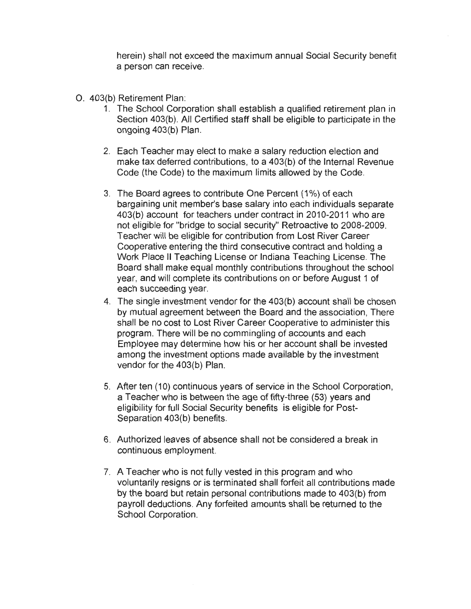herein) shall not exceed the maximum annual Social Security benefit a person can receive.

- 0 . 403(b) Retirement Plan:
	- 1. The School Corporation shall establish a qualified retirement plan in Section 403(b). All Certified staff shall be eligible to participate in the ongoing 403(b) Plan.
	- 2. Each Teacher may elect to make a salary reduction election and make tax deferred contributions, to a 403(b) of the Internal Revenue Code (the Code) to the maximum limits allowed by the Code.
	- 3. The Board agrees to contribute One Percent (1%) of each bargaining unit member's base salary into each individuals separate 403(b) account for teachers under contract in 2010-2011 who are not eligible for "bridge to social security" Retroactive to 2008-2009. Teacher will be eligible for contribution from Lost River Career Cooperative entering the third consecutive contract and holding a Work Place II Teaching License or Indiana Teaching License. The Board shall make equal monthly contributions throughout the school year, and will complete its contributions on or before August 1 of each succeeding year.
	- 4. The single investment vendor for the 403(b) account shall be chosen by mutual agreement between the Board and the association, There shall be no cost to Lost River Career Cooperative to administer this program. There will be no commingling of accounts and each Employee may determine how his or her account shall be invested among the investment options made available by the investment vendor for the 403(b) Plan.
	- 5. After ten (10) continuous years of service in the School Corporation, a Teacher who is between the age of fifty-three (53) years and eligibility for full Social Security benefits is eligible for Post-Separation 403(b) benefits.
	- 6. Authorized leaves of absence shall not be considered a break in continuous employment.
	- 7. A Teacher who is not fully vested in this program and who voluntarily resigns or is terminated shall forfeit all contributions made by the board but retain personal contributions made to 403(b) from payroll deductions. Any forfeited amounts shall be returned to the School Corporation.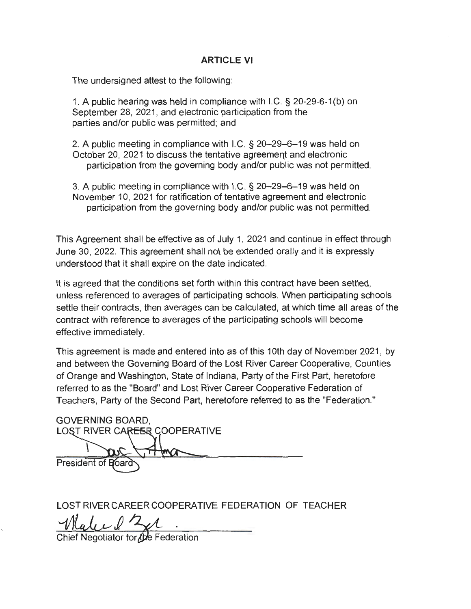## **ARTICLE VI**

The undersigned attest to the following:

1. A public hearing was held in compliance with I.C. § 20-29-6-1 (b) on September 28, 2021, and electronic participation from the parties and/or public was permitted; and

2. A public meeting in compliance with I.C. § 20-29-6-19 was held on October 20, 2021 to discuss the tentative agreement and electronic participation from the governing body and/or public was not permitted.

3. A public meeting in compliance with I.C. § 20-29-6-19 was held on November 10, 2021 for ratification of tentative agreement and electronic participation from the governing body and/or public was not permitted.

This Agreement shall be effective as of July 1, 2021 and continue in effect through June 30, 2022. This agreement shall not be extended orally and it is expressly understood that it shall expire on the date indicated.

It is agreed that the conditions set forth within this contract have been settled, unless referenced to averages of participating schools. When participating schools settle their contracts, then averages can be calculated, at which time all areas of the contract with reference to averages of the participating schools will become effective immediately.

This agreement is made and entered into as of this 10th day of November 2021, by and between the Governing Board of the Lost River Career Cooperative, Counties of Orange and Washington, State of Indiana, Party of the First Part, heretofore referred to as the "Board" and Lost River Career Cooperative Federation of Teachers, Party of the Second Part, heretofore referred to as the "Federation."

| <b>GOVERNING BOARD,</b>       |
|-------------------------------|
| LOST RIVER CAREER COOPERATIVE |
|                               |
| President of Board            |
|                               |

LOST RIVER CAREER COOPERATIVE FEDERATION OF TEACHER

Well 121 .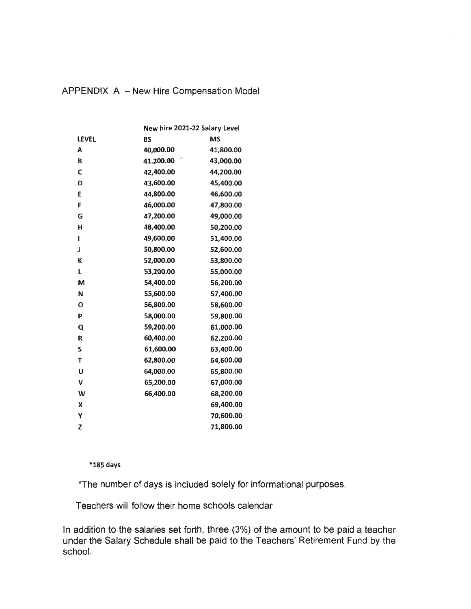|       | New hire 2021-22 Salary Level |           |
|-------|-------------------------------|-----------|
| LEVEL | <b>BS</b>                     | MS        |
| A     | 40,000.00                     | 41,800.00 |
| B     | 41.200.00                     | 43,000.00 |
| C     | 42,400.00                     | 44,200.00 |
| D     | 43,600.00                     | 45,400.00 |
| E     | 44,800.00                     | 46,600.00 |
| F     | 46,000.00                     | 47,800.00 |
| G     | 47,200.00                     | 49,000.00 |
| н     | 48,400.00                     | 50,200.00 |
| ı     | 49,600.00                     | 51,400.00 |
| J     | 50,800.00                     | 52,600.00 |
| К     | 52,000.00                     | 53,800.00 |
| Г     | 53,200.00                     | 55,000.00 |
| M     | 54,400.00                     | 56,200.00 |
| N     | 55,600.00                     | 57,400.00 |
| О     | 56,800.00                     | 58,600.00 |
| P     | 58,000.00                     | 59,800.00 |
| Q     | 59,200.00                     | 61,000.00 |
| R     | 60,400.00                     | 62,200.00 |
| S     | 61,600.00                     | 63,400.00 |
| Т     | 62,800.00                     | 64,600.00 |
| U     | 64,000.00                     | 65,800.00 |
| V     | 65,200.00                     | 67,000.00 |
| W     | 66,400.00                     | 68,200.00 |
| χ     |                               | 69,400.00 |
| Y     |                               | 70,600.00 |
| Z     |                               | 71,800.00 |

## APPENDIX A - New Hire Compensation Model

#### **\*185 days**

\*The number of days is included solely for informational purposes.

Teachers will follow their home schools calendar

In addition to the salaries set forth, three (3%) of the amount to be paid a teacher under the Salary Schedule shall be paid to the Teachers' Retirement Fund by the school.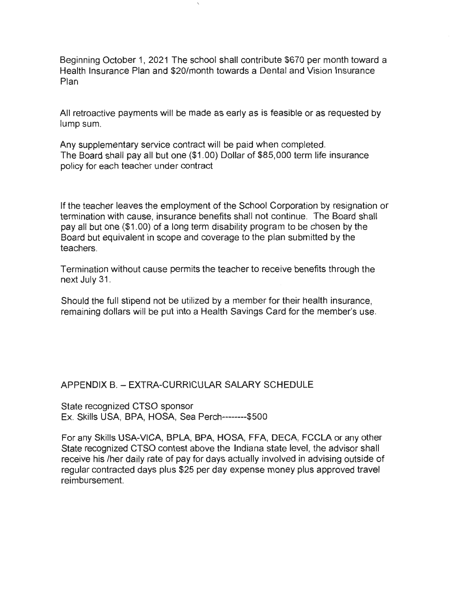Beginning October 1, 2021 The school shall contribute \$670 per month toward a Health Insurance Plan and \$20/month towards a Dental and Vision Insurance Plan

All retroactive payments will be made as early as is feasible or as requested by lump sum.

Any supplementary service contract will be paid when completed. The Board shall pay all but one (\$1.00) Dollar of \$85,000 term life insurance policy for each teacher under contract

If the teacher leaves the employment of the School Corporation by resignation or termination with cause, insurance benefits shall not continue. The Board shall pay all but one (\$1 . 00) of a long term disability program to be chosen by the Board but equivalent in scope and coverage to the plan submitted by the teachers.

Termination without cause permits the teacher to receive benefits through the next July 31.

Should the full stipend not be utilized by a member for their health insurance, remaining dollars will be put into a Health Savings Card for the member's use.

APPENDIX B. - EXTRA-CURRICULAR SALARY SCHEDULE

State recognized CTSO sponsor Ex. Skills USA, BPA, HOSA, Sea Perch--------\$500

For any Skills USA-VICA, BPLA, BPA, HOSA, FFA, DECA, FCCLA or any other State recognized CTSO contest above the Indiana state level, the advisor shall receive his /her daily rate of pay for days actually involved in advising outside of regular contracted days plus \$25 per day expense money plus approved travel reimbursement.